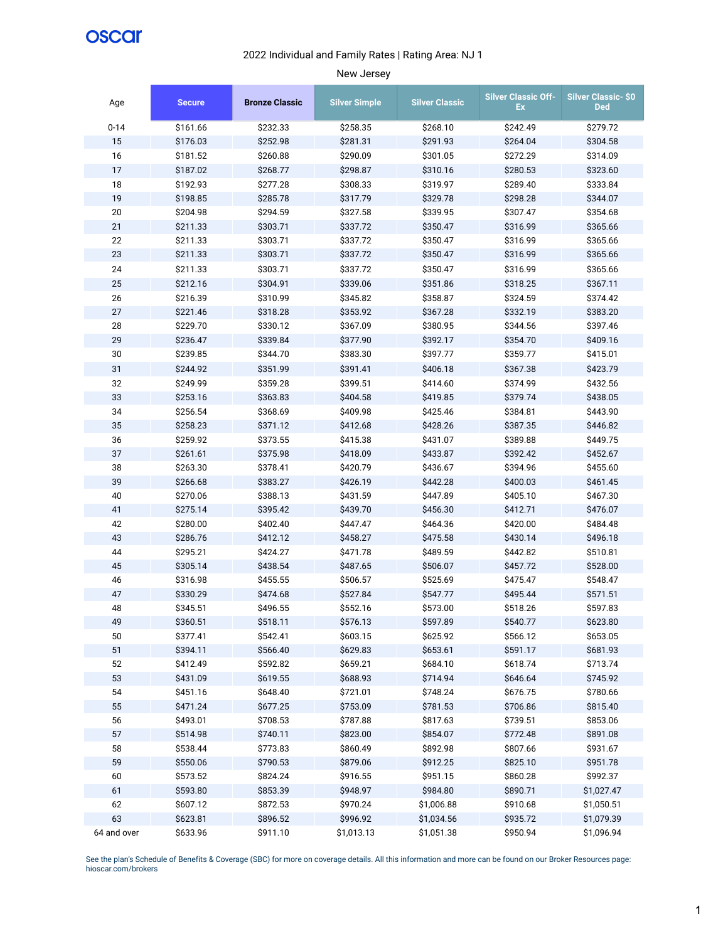**OSCAr** 

## 2022 Individual and Family Rates | Rating Area: NJ 1

New Jersey

| Age         | <b>Secure</b>        | <b>Bronze Classic</b> | <b>Silver Simple</b> | <b>Silver Classic</b> | <b>Silver Classic Off-</b><br>Ex | <b>Silver Classic-S0</b><br>Ded |
|-------------|----------------------|-----------------------|----------------------|-----------------------|----------------------------------|---------------------------------|
| $0 - 14$    | \$161.66             | \$232.33              | \$258.35             | \$268.10              | \$242.49                         | \$279.72                        |
| 15          | \$176.03             | \$252.98              | \$281.31             | \$291.93              | \$264.04                         | \$304.58                        |
| 16          | \$181.52             | \$260.88              | \$290.09             | \$301.05              | \$272.29                         | \$314.09                        |
| 17          | \$187.02             | \$268.77              | \$298.87             | \$310.16              | \$280.53                         | \$323.60                        |
| 18          | \$192.93             | \$277.28              | \$308.33             | \$319.97              | \$289.40                         | \$333.84                        |
| 19          | \$198.85             | \$285.78              | \$317.79             | \$329.78              | \$298.28                         | \$344.07                        |
| 20          | \$204.98             | \$294.59              | \$327.58             | \$339.95              | \$307.47                         | \$354.68                        |
| 21          | \$211.33             | \$303.71              | \$337.72             | \$350.47              | \$316.99                         | \$365.66                        |
| 22          | \$211.33             | \$303.71              | \$337.72             | \$350.47              | \$316.99                         | \$365.66                        |
| 23          | \$211.33             | \$303.71              | \$337.72             | \$350.47              | \$316.99                         | \$365.66                        |
| 24          | \$211.33             | \$303.71              | \$337.72             | \$350.47              | \$316.99                         | \$365.66                        |
| 25          | \$212.16             | \$304.91              | \$339.06             | \$351.86              | \$318.25                         | \$367.11                        |
| 26          | \$216.39             | \$310.99              | \$345.82             | \$358.87              | \$324.59                         | \$374.42                        |
| 27          | \$221.46             | \$318.28              | \$353.92             | \$367.28              | \$332.19                         | \$383.20                        |
| 28          | \$229.70             | \$330.12              | \$367.09             | \$380.95              | \$344.56                         | \$397.46                        |
| 29          | \$236.47             | \$339.84              | \$377.90             | \$392.17              | \$354.70                         | \$409.16                        |
| 30          | \$239.85             | \$344.70              | \$383.30             | \$397.77              | \$359.77                         | \$415.01                        |
| 31          | \$244.92             | \$351.99              | \$391.41             | \$406.18              | \$367.38                         | \$423.79                        |
| 32          | \$249.99             | \$359.28              | \$399.51             | \$414.60              | \$374.99                         | \$432.56                        |
| 33          | \$253.16             | \$363.83              | \$404.58             | \$419.85              | \$379.74                         | \$438.05                        |
| 34          | \$256.54             | \$368.69              | \$409.98             | \$425.46              | \$384.81                         | \$443.90                        |
| 35          | \$258.23             | \$371.12              | \$412.68             | \$428.26              | \$387.35                         | \$446.82                        |
| 36          | \$259.92             | \$373.55              | \$415.38             | \$431.07              | \$389.88                         | \$449.75                        |
| 37          | \$261.61             | \$375.98              | \$418.09             | \$433.87              | \$392.42                         | \$452.67                        |
| 38          | \$263.30             | \$378.41              | \$420.79             | \$436.67              | \$394.96                         | \$455.60                        |
| 39          | \$266.68             | \$383.27              | \$426.19             | \$442.28              | \$400.03                         | \$461.45                        |
| 40          | \$270.06             | \$388.13              | \$431.59             | \$447.89              | \$405.10                         | \$467.30                        |
| 41          | \$275.14             | \$395.42              | \$439.70             | \$456.30              | \$412.71                         | \$476.07                        |
| 42          | \$280.00             | \$402.40              | \$447.47             | \$464.36              | \$420.00                         | \$484.48                        |
| 43          | \$286.76             | \$412.12              | \$458.27             | \$475.58              | \$430.14                         | \$496.18                        |
| 44          | \$295.21             | \$424.27              | \$471.78             | \$489.59              | \$442.82                         | \$510.81                        |
| 45          | \$305.14             | \$438.54              | \$487.65             | \$506.07              | \$457.72                         | \$528.00                        |
| 46          | \$316.98             | \$455.55              | \$506.57             | \$525.69              | \$475.47                         | \$548.47                        |
| 47          | \$330.29             | \$474.68              | \$527.84             | \$547.77              | \$495.44                         | \$571.51                        |
| 48          | \$345.51             | \$496.55              | \$552.16             | \$573.00              | \$518.26                         | \$597.83                        |
| 49          | \$360.51             | \$518.11              | \$576.13             | \$597.89              | \$540.77                         | \$623.80                        |
| 50          | \$377.41             | \$542.41              | \$603.15             | \$625.92              | \$566.12                         | \$653.05                        |
| 51          | \$394.11             | \$566.40              | \$629.83             | \$653.61              | \$591.17                         | \$681.93                        |
| 52          | \$412.49             | \$592.82              | \$659.21             | \$684.10              | \$618.74                         | \$713.74                        |
| 53          | \$431.09<br>\$451.16 | \$619.55              | \$688.93             | \$714.94              | \$646.64                         | \$745.92                        |
| 54          |                      | \$648.40<br>\$677.25  | \$721.01             | \$748.24              | \$676.75                         | \$780.66                        |
| 55<br>56    | \$471.24<br>\$493.01 | \$708.53              | \$753.09<br>\$787.88 | \$781.53<br>\$817.63  | \$706.86<br>\$739.51             | \$815.40<br>\$853.06            |
|             |                      |                       |                      |                       |                                  |                                 |
| 57<br>58    | \$514.98<br>\$538.44 | \$740.11<br>\$773.83  | \$823.00<br>\$860.49 | \$854.07<br>\$892.98  | \$772.48<br>\$807.66             | \$891.08<br>\$931.67            |
| 59          | \$550.06             | \$790.53              | \$879.06             | \$912.25              | \$825.10                         | \$951.78                        |
| 60          | \$573.52             | \$824.24              | \$916.55             | \$951.15              | \$860.28                         | \$992.37                        |
| 61          | \$593.80             | \$853.39              | \$948.97             | \$984.80              | \$890.71                         | \$1,027.47                      |
| 62          | \$607.12             | \$872.53              | \$970.24             | \$1,006.88            | \$910.68                         | \$1,050.51                      |
| 63          | \$623.81             | \$896.52              | \$996.92             | \$1,034.56            | \$935.72                         | \$1,079.39                      |
| 64 and over | \$633.96             | \$911.10              | \$1,013.13           | \$1,051.38            | \$950.94                         | \$1,096.94                      |

See the plan's Schedule of Benefits & Coverage (SBC) for more on coverage details. All this information and more can be found on our Broker Resources page: hioscar.com/brokers